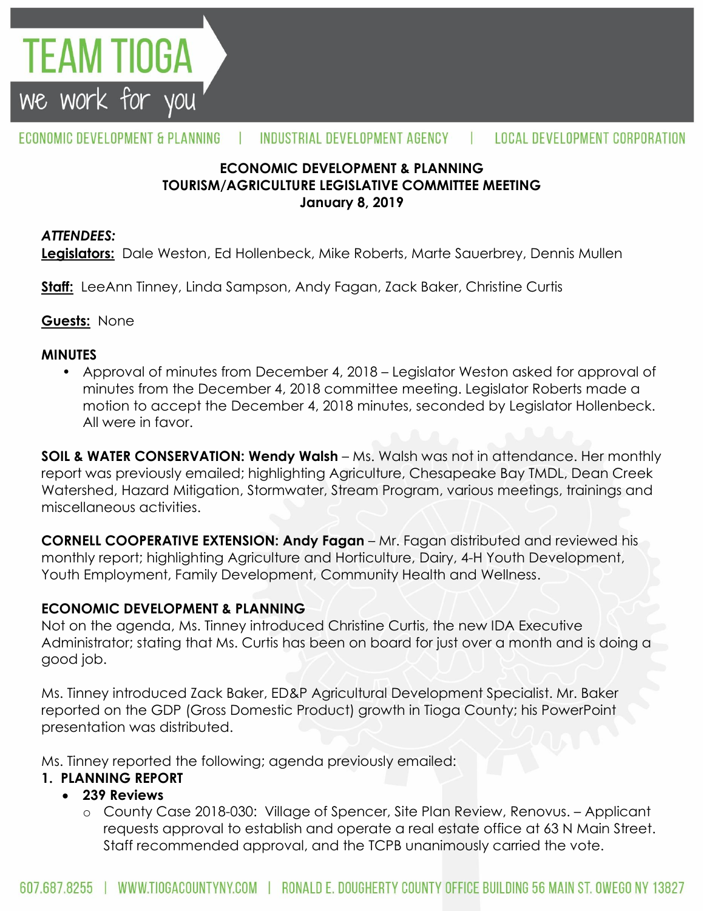

#### ECONOMIC DEVELOPMENT & PLANNING INDUSTRIAL DEVELOPMENT AGENCY Ш **LOCAL DEVELOPMENT CORPORATION**

## **ECONOMIC DEVELOPMENT & PLANNING TOURISM/AGRICULTURE LEGISLATIVE COMMITTEE MEETING January 8, 2019**

### *ATTENDEES:*

**Legislators:** Dale Weston, Ed Hollenbeck, Mike Roberts, Marte Sauerbrey, Dennis Mullen

**Staff:** LeeAnn Tinney, Linda Sampson, Andy Fagan, Zack Baker, Christine Curtis

## **Guests:** None

### **MINUTES**

• Approval of minutes from December 4, 2018 – Legislator Weston asked for approval of minutes from the December 4, 2018 committee meeting. Legislator Roberts made a motion to accept the December 4, 2018 minutes, seconded by Legislator Hollenbeck. All were in favor.

**SOIL & WATER CONSERVATION: Wendy Walsh** – Ms. Walsh was not in attendance. Her monthly report was previously emailed; highlighting Agriculture, Chesapeake Bay TMDL, Dean Creek Watershed, Hazard Mitigation, Stormwater, Stream Program, various meetings, trainings and miscellaneous activities.

**CORNELL COOPERATIVE EXTENSION: Andy Fagan** – Mr. Fagan distributed and reviewed his monthly report; highlighting Agriculture and Horticulture, Dairy, 4-H Youth Development, Youth Employment, Family Development, Community Health and Wellness.

## **ECONOMIC DEVELOPMENT & PLANNING**

Not on the agenda, Ms. Tinney introduced Christine Curtis, the new IDA Executive Administrator; stating that Ms. Curtis has been on board for just over a month and is doing a good job.

Ms. Tinney introduced Zack Baker, ED&P Agricultural Development Specialist. Mr. Baker reported on the GDP (Gross Domestic Product) growth in Tioga County; his PowerPoint presentation was distributed.

Ms. Tinney reported the following; agenda previously emailed:

## **1. PLANNING REPORT**

## **239 Reviews**

o County Case 2018-030: Village of Spencer, Site Plan Review, Renovus. – Applicant requests approval to establish and operate a real estate office at 63 N Main Street. Staff recommended approval, and the TCPB unanimously carried the vote.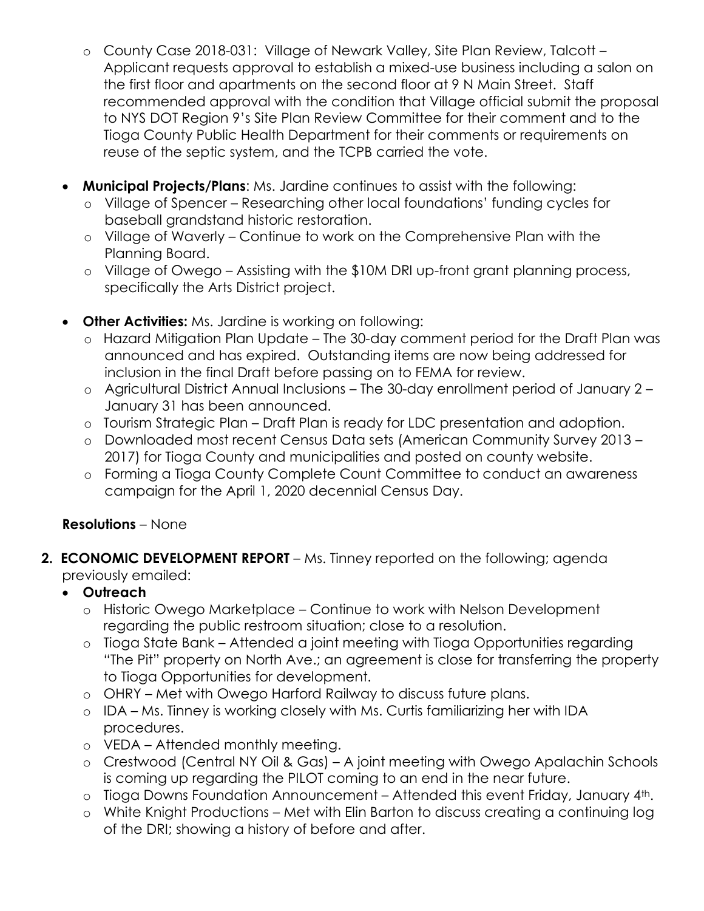- o County Case 2018-031: Village of Newark Valley, Site Plan Review, Talcott Applicant requests approval to establish a mixed-use business including a salon on the first floor and apartments on the second floor at 9 N Main Street. Staff recommended approval with the condition that Village official submit the proposal to NYS DOT Region 9's Site Plan Review Committee for their comment and to the Tioga County Public Health Department for their comments or requirements on reuse of the septic system, and the TCPB carried the vote.
- **Municipal Projects/Plans**: Ms. Jardine continues to assist with the following:
	- o Village of Spencer Researching other local foundations' funding cycles for baseball grandstand historic restoration.
	- o Village of Waverly Continue to work on the Comprehensive Plan with the Planning Board.
	- o Village of Owego Assisting with the \$10M DRI up-front grant planning process, specifically the Arts District project.
- **Other Activities:** Ms. Jardine is working on following:
	- o Hazard Mitigation Plan Update The 30-day comment period for the Draft Plan was announced and has expired. Outstanding items are now being addressed for inclusion in the final Draft before passing on to FEMA for review.
	- o Agricultural District Annual Inclusions The 30-day enrollment period of January 2 January 31 has been announced.
	- o Tourism Strategic Plan Draft Plan is ready for LDC presentation and adoption.
	- o Downloaded most recent Census Data sets (American Community Survey 2013 2017) for Tioga County and municipalities and posted on county website.
	- o Forming a Tioga County Complete Count Committee to conduct an awareness campaign for the April 1, 2020 decennial Census Day.

## **Resolutions** – None

- **2. ECONOMIC DEVELOPMENT REPORT** Ms. Tinney reported on the following; agenda previously emailed:
	- **Outreach**
		- o Historic Owego Marketplace Continue to work with Nelson Development regarding the public restroom situation; close to a resolution.
		- o Tioga State Bank Attended a joint meeting with Tioga Opportunities regarding "The Pit" property on North Ave.; an agreement is close for transferring the property to Tioga Opportunities for development.
		- o OHRY Met with Owego Harford Railway to discuss future plans.
		- o IDA Ms. Tinney is working closely with Ms. Curtis familiarizing her with IDA procedures.
		- o VEDA Attended monthly meeting.
		- o Crestwood (Central NY Oil & Gas) A joint meeting with Owego Apalachin Schools is coming up regarding the PILOT coming to an end in the near future.
		- o Tioga Downs Foundation Announcement Attended this event Friday, January 4th.
		- o White Knight Productions Met with Elin Barton to discuss creating a continuing log of the DRI; showing a history of before and after.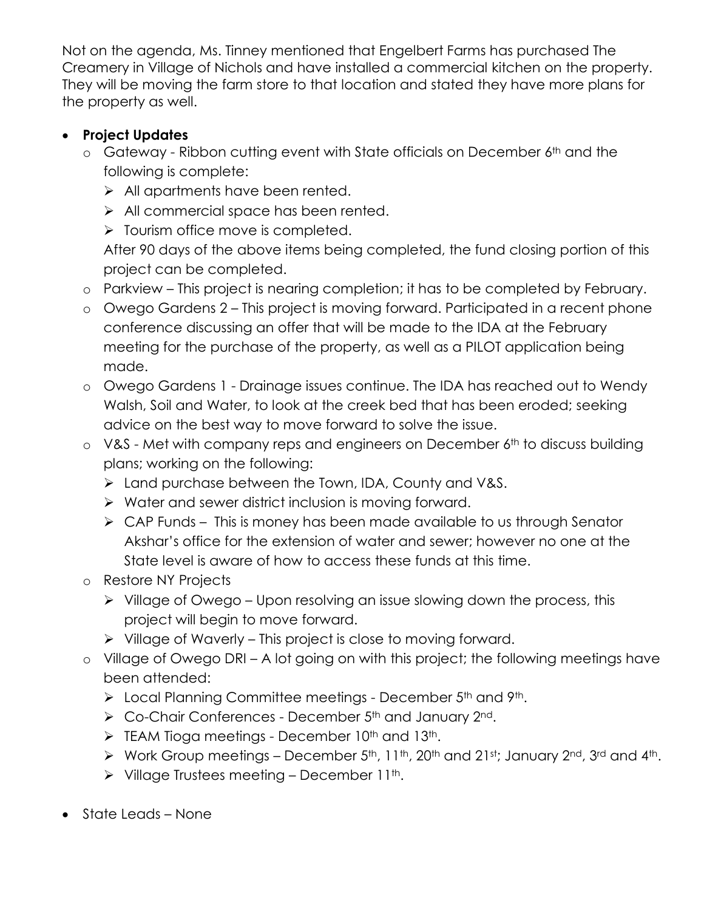Not on the agenda, Ms. Tinney mentioned that Engelbert Farms has purchased The Creamery in Village of Nichols and have installed a commercial kitchen on the property. They will be moving the farm store to that location and stated they have more plans for the property as well.

# **Project Updates**

- o Gateway Ribbon cutting event with State officials on December 6th and the following is complete:
	- $\triangleright$  All apartments have been rented.
	- All commercial space has been rented.
	- $\triangleright$  Tourism office move is completed.

After 90 days of the above items being completed, the fund closing portion of this project can be completed.

- o Parkview This project is nearing completion; it has to be completed by February.
- o Owego Gardens 2 This project is moving forward. Participated in a recent phone conference discussing an offer that will be made to the IDA at the February meeting for the purchase of the property, as well as a PILOT application being made.
- o Owego Gardens 1 Drainage issues continue. The IDA has reached out to Wendy Walsh, Soil and Water, to look at the creek bed that has been eroded; seeking advice on the best way to move forward to solve the issue.
- $\circ$  V&S Met with company reps and engineers on December 6<sup>th</sup> to discuss building plans; working on the following:
	- Land purchase between the Town, IDA, County and V&S.
	- $\triangleright$  Water and sewer district inclusion is moving forward.
	- $\triangleright$  CAP Funds This is money has been made available to us through Senator Akshar's office for the extension of water and sewer; however no one at the State level is aware of how to access these funds at this time.
- o Restore NY Projects
	- $\triangleright$  Village of Owego Upon resolving an issue slowing down the process, this project will begin to move forward.
	- $\triangleright$  Village of Waverly This project is close to moving forward.
- o Village of Owego DRI A lot going on with this project; the following meetings have been attended:
	- $\triangleright$  Local Planning Committee meetings December 5<sup>th</sup> and 9<sup>th</sup>.
	- ▶ Co-Chair Conferences December 5<sup>th</sup> and January 2<sup>nd</sup>.
	- $\triangleright$  TEAM Tioga meetings December 10<sup>th</sup> and 13<sup>th</sup>.
	- $\triangleright$  Work Group meetings December 5<sup>th</sup>, 11<sup>th</sup>, 20<sup>th</sup> and 21st; January 2<sup>nd</sup>, 3<sup>rd</sup> and 4<sup>th</sup>.
	- $\triangleright$  Village Trustees meeting December 11<sup>th</sup>.
- State Leads None